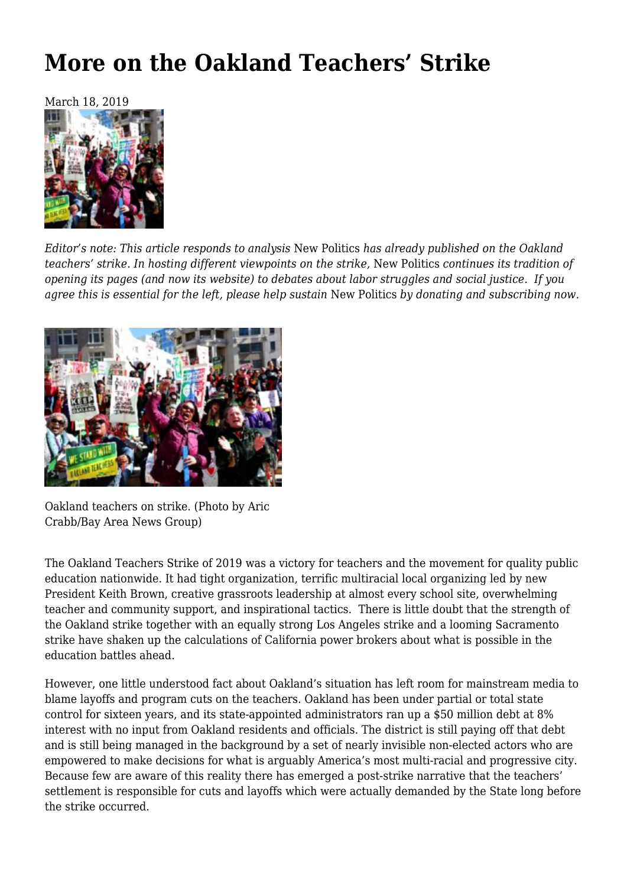## **[More on the Oakland Teachers' Strike](https://newpol.org/more-on-the-oakland-teachers-strike/)**

March 18, 2019



*Editor's note: This article responds to analysis* [New Politics](.https:/newpol.org/oakland-teachers-strike-balance-sheet-lessons-and-what-next/) *[has already published](.https:/newpol.org/oakland-teachers-strike-balance-sheet-lessons-and-what-next/) on the Oakland teachers' strike. In hosting different viewpoints on the strike,* New Politics *continues its tradition of opening its pages (and now its website) to debates about labor struggles and social justice. If you agree this is essential for the left, please help sustain* New Politics *by [donating and subscribing](https://newpol.org/donate/) now.*



Oakland teachers on strike. (Photo by Aric Crabb/Bay Area News Group)

The Oakland Teachers Strike of 2019 was a victory for teachers and the movement for quality public education nationwide. It had tight organization, terrific multiracial local organizing led by new President Keith Brown, creative grassroots leadership at almost every school site, overwhelming teacher and community support, and inspirational tactics. There is little doubt that the strength of the Oakland strike together with an equally strong Los Angeles strike and a looming Sacramento strike have shaken up the calculations of California power brokers about what is possible in the education battles ahead.

However, one little understood fact about Oakland's situation has left room for mainstream media to blame layoffs and program cuts on the teachers. Oakland has been under partial or total state control for sixteen years, and its state-appointed administrators ran up a \$50 million debt at 8% interest with no input from Oakland residents and officials. The district is still paying off that debt and is still being managed in the background by a set of nearly invisible non-elected actors who are empowered to make decisions for what is arguably America's most multi-racial and progressive city. Because few are aware of this reality there has emerged a post-strike narrative that the teachers' settlement is responsible for cuts and layoffs which were actually demanded by the State long before the strike occurred.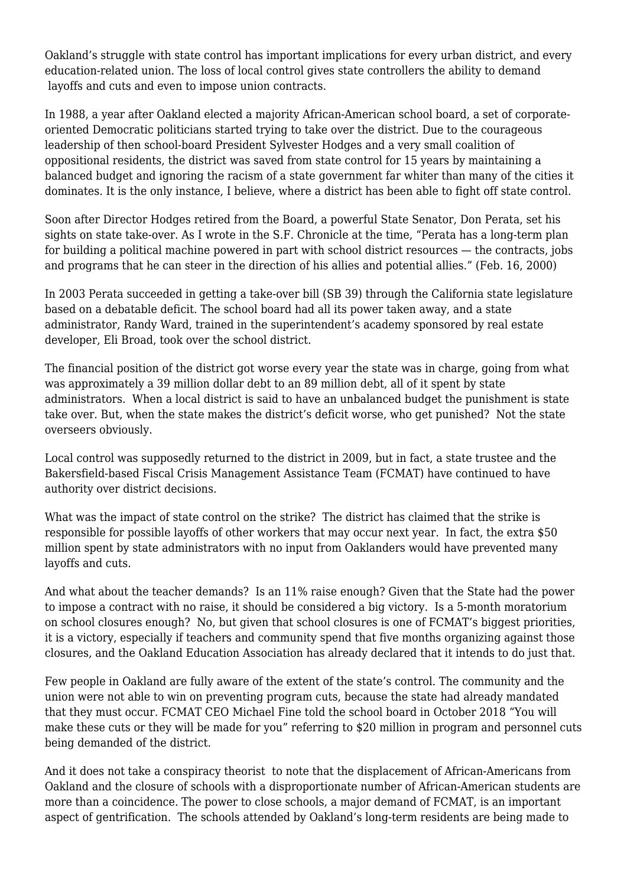Oakland's struggle with state control has important implications for every urban district, and every education-related union. The loss of local control gives state controllers the ability to demand layoffs and cuts and even to impose union contracts.

In 1988, a year after Oakland elected a majority African-American school board, a set of corporateoriented Democratic politicians started trying to take over the district. Due to the courageous leadership of then school-board President Sylvester Hodges and a very small coalition of oppositional residents, the district was saved from state control for 15 years by maintaining a balanced budget and ignoring the racism of a state government far whiter than many of the cities it dominates. It is the only instance, I believe, where a district has been able to fight off state control.

Soon after Director Hodges retired from the Board, a powerful State Senator, Don Perata, set his sights on state take-over. As I wrote in the S.F. Chronicle at the time, "Perata has a long-term plan for building a political machine powered in part with school district resources — the contracts, jobs and programs that he can steer in the direction of his allies and potential allies." (Feb. 16, 2000)

In 2003 Perata succeeded in getting a take-over bill (SB 39) through the California state legislature based on a debatable deficit. The school board had all its power taken away, and a state administrator, Randy Ward, trained in the superintendent's academy sponsored by real estate developer, Eli Broad, took over the school district.

The financial position of the district got worse every year the state was in charge, going from what was approximately a 39 million dollar debt to an 89 million debt, all of it spent by state administrators. When a local district is said to have an unbalanced budget the punishment is state take over. But, when the state makes the district's deficit worse, who get punished? Not the state overseers obviously.

Local control was supposedly returned to the district in 2009, but in fact, a state trustee and the Bakersfield-based Fiscal Crisis Management Assistance Team (FCMAT) have continued to have authority over district decisions.

What was the impact of state control on the strike? The district has claimed that the strike is responsible for possible layoffs of other workers that may occur next year. In fact, the extra \$50 million spent by state administrators with no input from Oaklanders would have prevented many layoffs and cuts.

And what about the teacher demands? Is an 11% raise enough? Given that the State had the power to impose a contract with no raise, it should be considered a big victory. Is a 5-month moratorium on school closures enough? No, but given that school closures is one of FCMAT's biggest priorities, it is a victory, especially if teachers and community spend that five months organizing against those closures, and the Oakland Education Association has already declared that it intends to do just that.

Few people in Oakland are fully aware of the extent of the state's control. The community and the union were not able to win on preventing program cuts, because the state had already mandated that they must occur. FCMAT CEO Michael Fine told the school board in October 2018 "You will make these cuts or they will be made for you" referring to \$20 million in program and personnel cuts being demanded of the district.

And it does not take a conspiracy theorist to note that the displacement of African-Americans from Oakland and the closure of schools with a disproportionate number of African-American students are more than a coincidence. The power to close schools, a major demand of FCMAT, is an important aspect of gentrification. The schools attended by Oakland's long-term residents are being made to